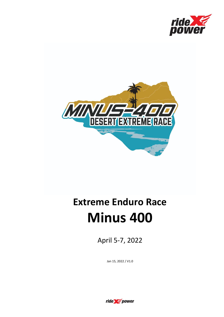



# **Extreme Enduro Race Minus 400**

April 5-7, 2022

Jan 15, 2022 / V1.0

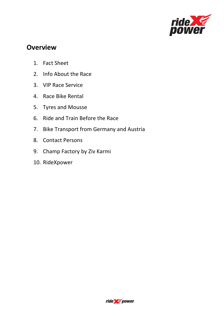

# **Overview**

- 1. Fact Sheet
- 2. Info About the Race
- 3. VIP Race Service
- 4. Race Bike Rental
- 5. Tyres and Mousse
- 6. Ride and Train Before the Race
- 7. Bike Transport from Germany and Austria
- 8. Contact Persons
- 9. Champ Factory by Ziv Karmi
- 10. RideXpower

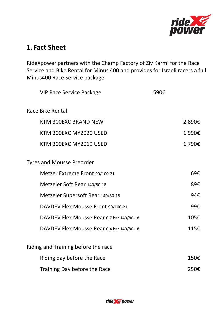

# **1. Fact Sheet**

RideXpower partners with the Champ Factory of Ziv Karmi for the Race Service and Bike Rental for Minus 400 and provides for Israeli racers a full Minus400 Race Service package.

| <b>VIP Race Service Package</b>           | 590€ |        |
|-------------------------------------------|------|--------|
| <b>Race Bike Rental</b>                   |      |        |
| <b>KTM 300EXC BRAND NEW</b>               |      | 2.890€ |
| KTM 300EXC MY2020 USED                    |      | 1.990€ |
| KTM 300EXC MY2019 USED                    |      | 1.790€ |
| <b>Tyres and Mousse Preorder</b>          |      |        |
| Metzer Extreme Front 90/100-21            |      | 69€    |
| Metzeler Soft Rear 140/80-18              |      | 89€    |
| Metzeler Supersoft Rear 140/80-18         |      | 94€    |
| DAVDEV Flex Mousse Front 90/100-21        |      | 99€    |
| DAVDEV Flex Mousse Rear 0,7 bar 140/80-18 |      | 105€   |
| DAVDEV Flex Mousse Rear 0,4 bar 140/80-18 |      | 115€   |
| Riding and Training before the race       |      |        |
| Riding day before the Race                |      | 150€   |
| Training Day before the Race              |      | 250€   |

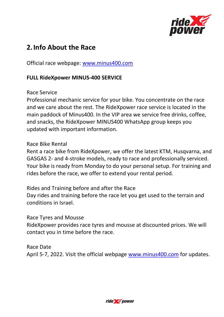

# **2.Info About the Race**

Official race webpage: [www.minus400.com](http://www.minus400.com/)

# **FULL RideXpower MINUS-400 SERVICE**

Race Service

Professional mechanic service for your bike. You concentrate on the race and we care about the rest. The RideXpower race service is located in the main paddock of Minus400. In the VIP area we service free drinks, coffee, and snacks, the RideXpower MINUS400 WhatsApp group keeps you updated with important information.

### Race Bike Rental

Rent a race bike from RideXpower, we offer the latest KTM, Husqvarna, and GASGAS 2- and 4-stroke models, ready to race and professionally serviced. Your bike is ready from Monday to do your personal setup. For training and rides before the race, we offer to extend your rental period.

Rides and Training before and after the Race

Day rides and training before the race let you get used to the terrain and conditions in Israel.

#### Race Tyres and Mousse

RideXpower provides race tyres and mousse at discounted prices. We will contact you in time before the race.

Race Date April 5-7, 2022. Visit the official webpage [www.minus400.com](http://www.minus400.com/) for updates.

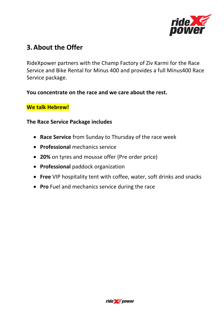

# **3.About the Offer**

RideXpower partners with the Champ Factory of Ziv Karmi for the Race Service and Bike Rental for Minus 400 and provides a full Minus400 Race Service package.

### **You concentrate on the race and we care about the rest.**

# **We talk Hebrew!**

### **The Race Service Package includes**

- **Race Service** from Sunday to Thursday of the race week
- **Professional** mechanics service
- **20%** on tyres and mousse offer (Pre order price)
- **Professional** paddock organization
- **Free** VIP hospitality tent with coffee, water, soft drinks and snacks
- **Pro** Fuel and mechanics service during the race

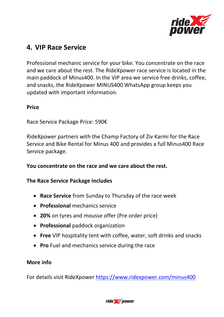

# **4. VIP Race Service**

Professional mechanic service for your bike. You concentrate on the race and we care about the rest. The RideXpower race service is located in the main paddock of Minus400. In the VIP area we service free drinks, coffee, and snacks, the RideXpower MINUS400 WhatsApp group keeps you updated with important information.

### **Price**

Race Service Package Price: 590€

RideXpower partners with the Champ Factory of Ziv Karmi for the Race Service and Bike Rental for Minus 400 and provides a full Minus400 Race Service package.

# **You concentrate on the race and we care about the rest.**

### **The Race Service Package includes**

- **Race Service** from Sunday to Thursday of the race week
- **Professional** mechanics service
- **20%** on tyres and mousse offer (Pre order price)
- **Professional** paddock organization
- **Free** VIP hospitality tent with coffee, water, soft drinks and snacks
- **Pro** Fuel and mechanics service during the race

# **More info**

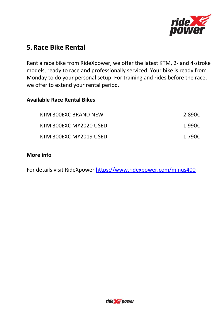

# **5.Race Bike Rental**

Rent a race bike from RideXpower, we offer the latest KTM, 2- and 4-stroke models, ready to race and professionally serviced. Your bike is ready from Monday to do your personal setup. For training and rides before the race, we offer to extend your rental period.

#### **Available Race Rental Bikes**

| KTM 300EXC BRAND NEW   | 2.890€ |
|------------------------|--------|
| KTM 300EXC MY2020 USED | 1.990€ |
| KTM 300EXC MY2019 USED | 1.790€ |

### **More info**

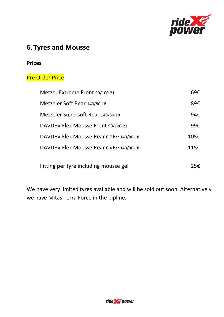

# **6.Tyres and Mousse**

#### **Prices**

# Pre Order Price

| Metzer Extreme Front 90/100-21            | 69€  |
|-------------------------------------------|------|
| Metzeler Soft Rear 140/80-18              | 89€  |
| Metzeler Supersoft Rear 140/80-18         | 94€  |
| DAVDEV Flex Mousse Front 90/100-21        | 99€  |
| DAVDEV Flex Mousse Rear 0,7 bar 140/80-18 | 105E |
| DAVDEV Flex Mousse Rear 0,4 bar 140/80-18 | 115E |
|                                           |      |
| Fitting per tyre including mousse gel     | 25€. |

We have very limited tyres available and will be sold out soon. Alternatively we have Mitas Terra Force in the pipline.

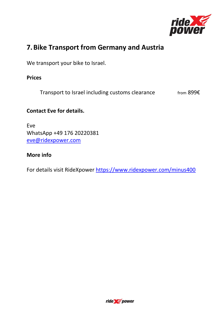

# **7.Bike Transport from Germany and Austria**

We transport your bike to Israel.

**Prices**

Transport to Israel including customs clearance  $f$  from 899 $\epsilon$ 

# **Contact Eve for details.**

Eve WhatsApp +49 176 20220381 [eve@ridexpower.com](mailto:eve@ridexpower.com)

# **More info**

![](_page_8_Picture_9.jpeg)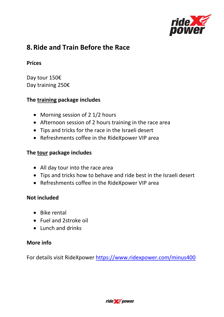![](_page_9_Picture_0.jpeg)

# **8.Ride and Train Before the Race**

### **Prices**

Day tour 150€ Day training 250€

# **The training package includes**

- Morning session of 2 1/2 hours
- Afternoon session of 2 hours training in the race area
- Tips and tricks for the race in the Israeli desert
- Refreshments coffee in the RideXpower VIP area

### **The tour package includes**

- All day tour into the race area
- Tips and tricks how to behave and ride best in the Israeli desert
- Refreshments coffee in the RideXpower VIP area

### **Not included**

- Bike rental
- Fuel and 2stroke oil
- Lunch and drinks

# **More info**

![](_page_9_Picture_19.jpeg)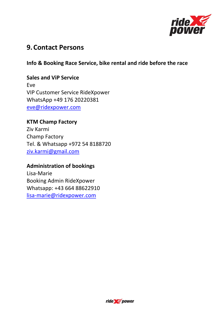![](_page_10_Picture_0.jpeg)

# **9.Contact Persons**

### **Info & Booking Race Service, bike rental and ride before the race**

#### **Sales and ViP Service**

Eve VIP Customer Service RideXpower WhatsApp +49 176 20220381 [eve@ridexpower.com](mailto:eve@ridexpower.com)

### **KTM Champ Factory**

Ziv Karmi Champ Factory Tel. & Whatsapp +972 54 8188720 ziv.karmi@gmail.com

### **Administration of bookings**

Lisa-Marie Booking Admin RideXpower Whatsapp: +43 664 88622910 [lisa-marie@ridexpower.com](mailto:lisa-marie@ridexpower.com)

![](_page_10_Picture_9.jpeg)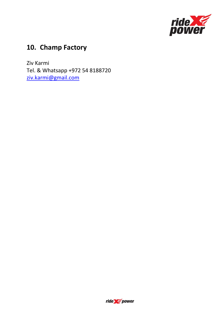![](_page_11_Picture_0.jpeg)

# **10. Champ Factory**

Ziv Karmi Tel. & Whatsapp +972 54 8188720 ziv.karmi@gmail.com

![](_page_11_Picture_3.jpeg)